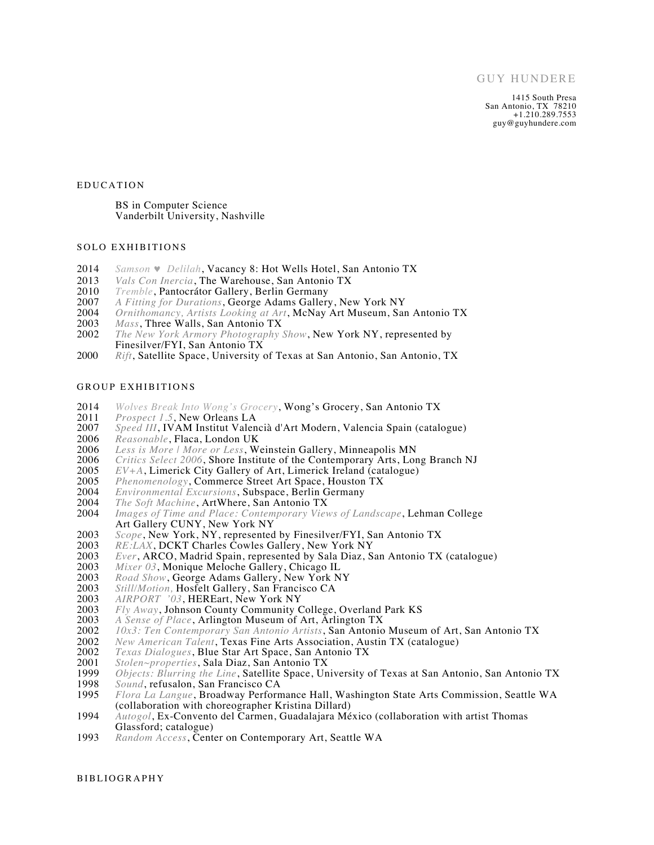1415 South Presa San Antonio, TX 78210 +1.210.289.7553 guy@guyhundere.com

#### EDUCATION

BS in Computer Science Vanderbilt University, Nashville

## SOLO EXHIBITIONS

- 2014 *Samson* ♥ *Delilah*, Vacancy 8: Hot Wells Hotel, San Antonio TX
- 2013 *Vals Con Inercia*, The Warehouse, San Antonio TX
- 2010 *Tremble*, Pantocrátor Gallery, Berlin Germany
- 2007 *A Fitting for Durations*, George Adams Gallery, New York NY
- 2004 *Ornithomancy, Artists Looking at Art*, McNay Art Museum, San Antonio TX
- 2003 *Mass*, Three Walls, San Antonio TX<br>2002 *The New York Armory Photography*
- The New York Armory Photography Show, New York NY, represented by Finesilver/FYI, San Antonio TX
- 2000 *Rift*, Satellite Space, University of Texas at San Antonio, San Antonio, TX

# GROUP EXHIBITIONS

- 2014 *Wolves Break Into Wong's Grocery*, Wong's Grocery, San Antonio TX
- 2011 *Prospect 1.5*, New Orleans LA<br>2007 *Speed III*, IVAM Institut Valen
- 2007 *Speed III*, IVAM Institut Valencià d'Art Modern, Valencia Spain (catalogue)
- 2006 *Reasonable*, Flaca, London UK<br>2006 *Less is More | More or Less*, We
- 2006 *Less is More | More or Less*, Weinstein Gallery, Minneapolis MN
- 2006 *Critics Select 2006*, Shore Institute of the Contemporary Arts, Long Branch NJ<br>2005 *EV*+A, Limerick City Gallery of Art, Limerick Ireland (catalogue)
- 2005 *EV+A*, Limerick City Gallery of Art, Limerick Ireland (catalogue)<br>2005 *Phenomenology*, Commerce Street Art Space, Houston TX
- 2005 *Phenomenology*, Commerce Street Art Space, Houston TX<br>2004 *Environmental Excursions*, Subspace, Berlin Germany
- 2004 *Environmental Excursions*, Subspace, Berlin Germany
- 2004 *The Soft Machine*, ArtWhere, San Antonio TX
- 2004 *Images of Time and Place: Contemporary Views of Landscape*, Lehman College Art Gallery CUNY, New York NY
- 2003 *Scope*, New York, NY, represented by Finesilver/FYI, San Antonio TX<br>2003 RE:LAX, DCKT Charles Cowles Gallery, New York NY
- 2003 *RE:LAX*, DCKT Charles Cowles Gallery, New York NY<br>2003 *Ever*, ARCO, Madrid Spain, represented by Sala Diaz, S.
- 2003 *Ever*, ARCO, Madrid Spain, represented by Sala Diaz, San Antonio TX (catalogue)
- 2003 *Mixer 03*, Monique Meloche Gallery, Chicago IL
- 2003 *Road Show*, George Adams Gallery, New York NY<br>2003 *Still/Motion*, Hosfelt Gallery, San Francisco CA
- 2003 *Still/Motion, Hosfelt Gallery, San Francisco CA*<br>2003 *AIRPORT '03, HEREart, New York NY*
- 2003 *AIRPORT '03*, HEREart, New York NY
- 2003 *Fly Away*, Johnson County Community College, Overland Park KS 2003 *A Sense of Place*, Arlington Museum of Art, Arlington TX
- 2003 *A Sense of Place*, Arlington Museum of Art, Arlington TX
- 2002 *10x3: Ten Contemporary San Antonio Artists*, San Antonio Museum of Art, San Antonio TX
- 2002 *New American Talent*, Texas Fine Arts Association, Austin TX (catalogue)
- 2002 *Texas Dialogues*, Blue Star Art Space, San Antonio TX
- 2001 *Stolen~properties*, Sala Diaz, San Antonio TX
- 1999 *Objects: Blurring the Line*, Satellite Space, University of Texas at San Antonio, San Antonio TX
- 1998 *Sound*, refusalon, San Francisco CA<br>1995 *Flora La Langue*, Broadway Perforn
- 1995 *Flora La Langue*, Broadway Performance Hall, Washington State Arts Commission, Seattle WA (collaboration with choreographer Kristina Dillard)
- 1994 *Autogol*, Ex-Convento del Carmen, Guadalajara México (collaboration with artist Thomas Glassford; catalogue)
- 1993 *Random Access*, Center on Contemporary Art, Seattle WA

BIBLIOGRAPHY